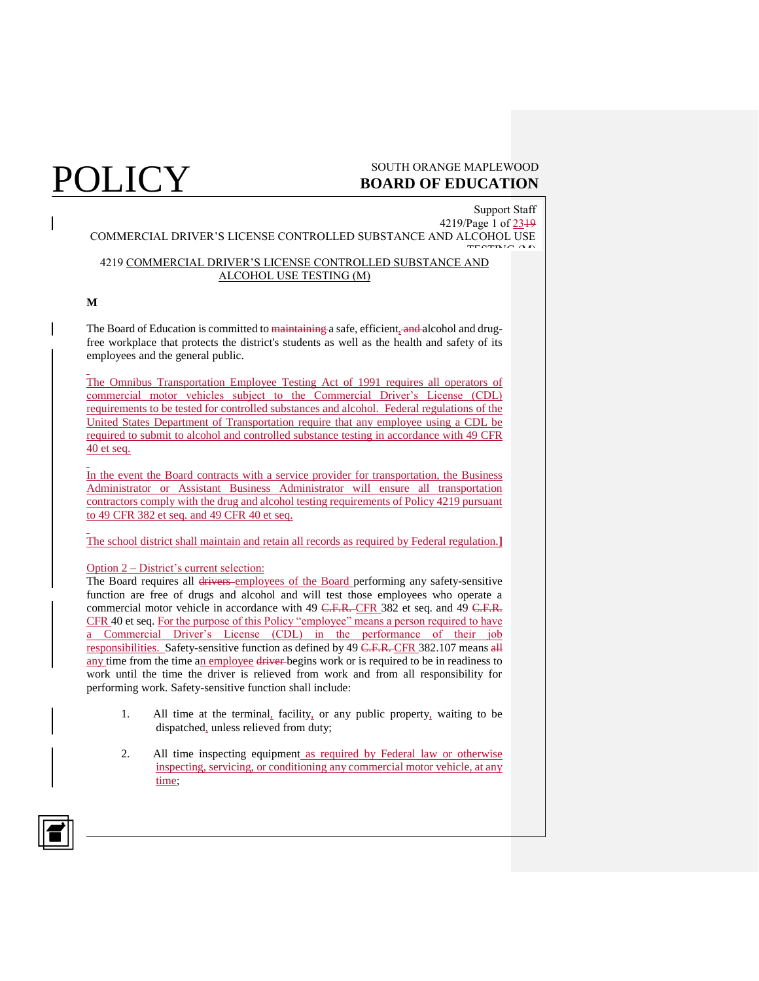Support Staff 4219/Page 1 of 2319 COMMERCIAL DRIVER'S LICENSE CONTROLLED SUBSTANCE AND ALCOHOL USE TESTING (M)

### 4219 COMMERCIAL DRIVER'S LICENSE CONTROLLED SUBSTANCE AND ALCOHOL USE TESTING (M)

### **M**

The Board of Education is committed to maintaining a safe, efficient, and alcohol and drugfree workplace that protects the district's students as well as the health and safety of its employees and the general public.

The Omnibus Transportation Employee Testing Act of 1991 requires all operators of commercial motor vehicles subject to the Commercial Driver's License (CDL) requirements to be tested for controlled substances and alcohol. Federal regulations of the United States Department of Transportation require that any employee using a CDL be required to submit to alcohol and controlled substance testing in accordance with 49 CFR 40 et seq.

In the event the Board contracts with a service provider for transportation, the Business Administrator or Assistant Business Administrator will ensure all transportation contractors comply with the drug and alcohol testing requirements of Policy 4219 pursuant to 49 CFR 382 et seq. and 49 CFR 40 et seq.

The school district shall maintain and retain all records as required by Federal regulation.**]**

### Option 2 – District's current selection:

The Board requires all drivers employees of the Board performing any safety-sensitive function are free of drugs and alcohol and will test those employees who operate a commercial motor vehicle in accordance with 49 C.F.R. CFR 382 et seq. and 49 C.F.R. CFR 40 et seq. For the purpose of this Policy "employee" means a person required to have a Commercial Driver's License (CDL) in the performance of their job responsibilities. Safety-sensitive function as defined by 49  $\overline{C.F.R.}$  CFR 382.107 means all any time from the time an employee driver begins work or is required to be in readiness to work until the time the driver is relieved from work and from all responsibility for performing work. Safety-sensitive function shall include:

- 1. All time at the terminal, facility, or any public property, waiting to be dispatched, unless relieved from duty;
- 2. All time inspecting equipment as required by Federal law or otherwise inspecting, servicing, or conditioning any commercial motor vehicle, at any time;

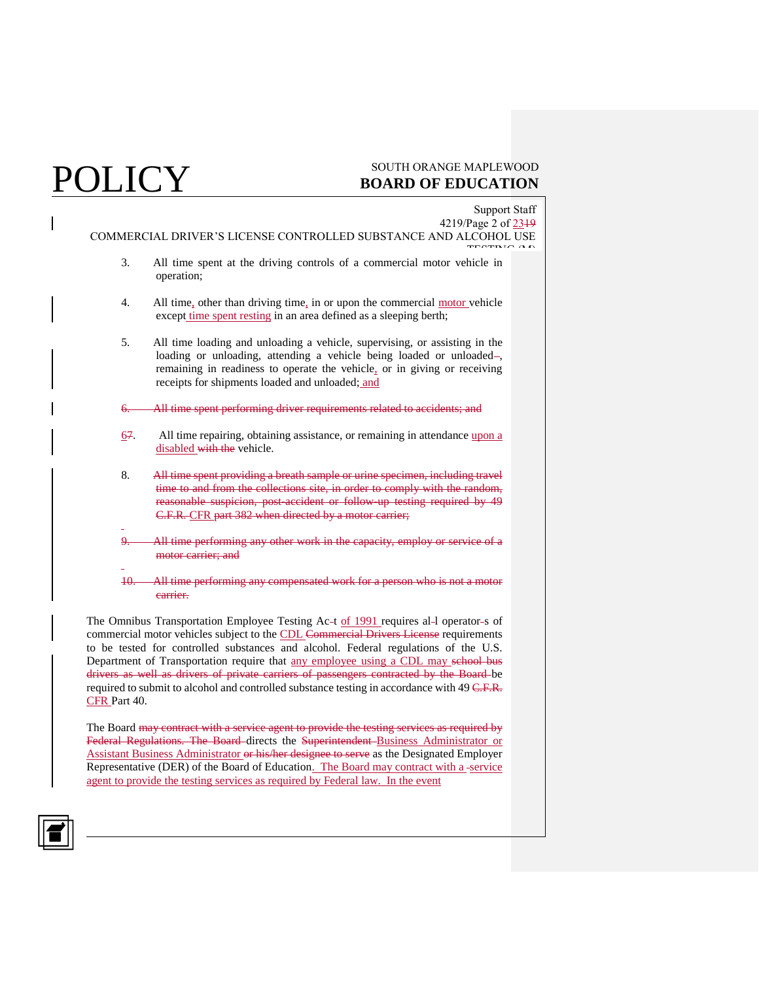|                                                                                | Support Staff                                                                                                                                                                                                                                                                                  |  |  |
|--------------------------------------------------------------------------------|------------------------------------------------------------------------------------------------------------------------------------------------------------------------------------------------------------------------------------------------------------------------------------------------|--|--|
|                                                                                | 4219/Page 2 of 2319                                                                                                                                                                                                                                                                            |  |  |
| COMMERCIAL DRIVER'S LICENSE CONTROLLED SUBSTANCE AND ALCOHOL USE<br>TECTRIC AL |                                                                                                                                                                                                                                                                                                |  |  |
| 3.                                                                             | All time spent at the driving controls of a commercial motor vehicle in<br>operation;                                                                                                                                                                                                          |  |  |
| 4.                                                                             | All time, other than driving time, in or upon the commercial motor vehicle<br>except time spent resting in an area defined as a sleeping berth;                                                                                                                                                |  |  |
| 5.                                                                             | All time loading and unloading a vehicle, supervising, or assisting in the<br>loading or unloading, attending a vehicle being loaded or unloaded-<br>remaining in readiness to operate the vehicle, or in giving or receiving<br>receipts for shipments loaded and unloaded; and               |  |  |
| <del>6.</del>                                                                  | All time spent performing driver requirements related to accidents; and                                                                                                                                                                                                                        |  |  |
| 67.                                                                            | All time repairing, obtaining assistance, or remaining in attendance upon a<br>disabled with the vehicle.                                                                                                                                                                                      |  |  |
| 8.                                                                             | All time spent providing a breath sample or urine specimen, including travel<br>time to and from the collections site, in order to comply with the random,<br>reasonable suspicion, post-accident or follow-up testing required by 49<br>C.F.R. CFR part 382 when directed by a motor carrier; |  |  |
|                                                                                | All time performing any other work in the capacity, employ or service<br>motor carrier: and                                                                                                                                                                                                    |  |  |
|                                                                                |                                                                                                                                                                                                                                                                                                |  |  |

10. All time performing any compensated work for a person who is not a motor carrier.

The Omnibus Transportation Employee Testing Ac-t of 1991 requires al-1 operator-s of commercial motor vehicles subject to the CDL Commercial Drivers License requirements to be tested for controlled substances and alcohol. Federal regulations of the U.S. Department of Transportation require that any employee using a CDL may school bus drivers as well as drivers of private carriers of passengers contracted by the Board be required to submit to alcohol and controlled substance testing in accordance with 49 C.F.R. CFR Part 40.

The Board may contract with a service agent to provide the testing services as required by Federal Regulations. The Board directs the Superintendent Business Administrator or Assistant Business Administrator or his/her designee to serve as the Designated Employer Representative (DER) of the Board of Education. The Board may contract with a -service agent to provide the testing services as required by Federal law. In the event

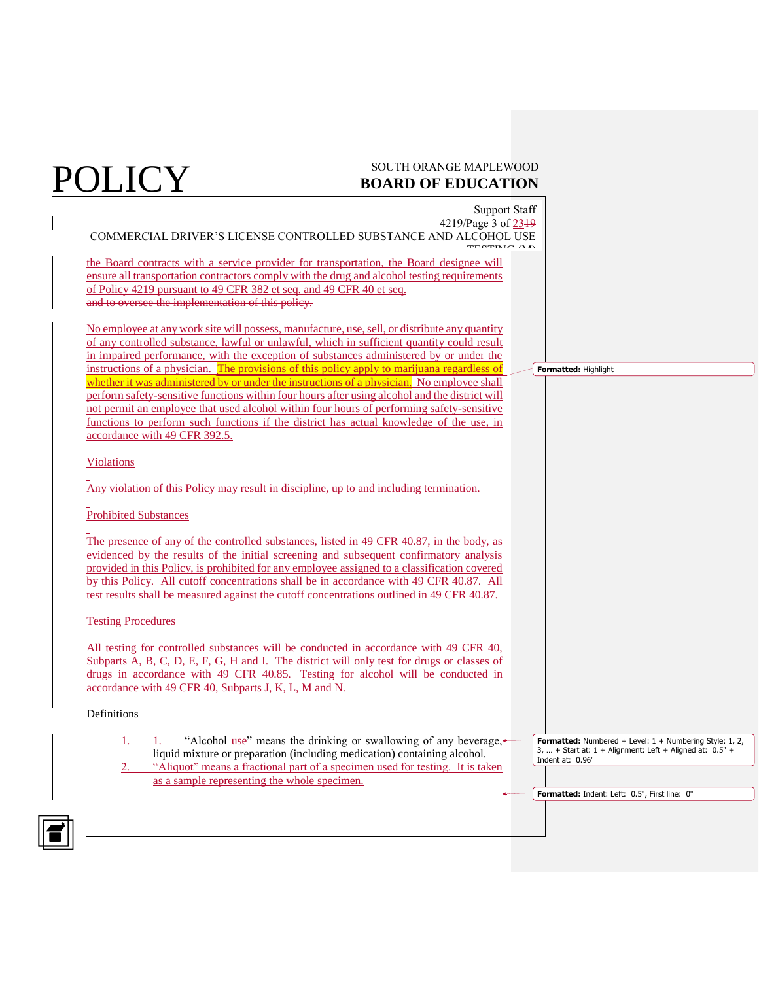Support Staff 4219/Page 3 of 2319 COMMERCIAL DRIVER'S LICENSE CONTROLLED SUBSTANCE AND ALCOHOL USE TESTING (M) the Board contracts with a service provider for transportation, the Board designee will ensure all transportation contractors comply with the drug and alcohol testing requirements of Policy 4219 pursuant to 49 CFR 382 et seq. and 49 CFR 40 et seq. and to oversee the implementation of this policy. No employee at any work site will possess, manufacture, use, sell, or distribute any quantity of any controlled substance, lawful or unlawful, which in sufficient quantity could result in impaired performance, with the exception of substances administered by or under the instructions of a physician. The provisions of this policy apply to marijuana regardless of whether it was administered by or under the instructions of a physician. No employee shall perform safety-sensitive functions within four hours after using alcohol and the district will not permit an employee that used alcohol within four hours of performing safety-sensitive functions to perform such functions if the district has actual knowledge of the use, in accordance with 49 CFR 392.5. Violations Any violation of this Policy may result in discipline, up to and including termination. Prohibited Substances The presence of any of the controlled substances, listed in 49 CFR 40.87, in the body, as evidenced by the results of the initial screening and subsequent confirmatory analysis provided in this Policy, is prohibited for any employee assigned to a classification covered by this Policy. All cutoff concentrations shall be in accordance with 49 CFR 40.87. All test results shall be measured against the cutoff concentrations outlined in 49 CFR 40.87. Testing Procedures All testing for controlled substances will be conducted in accordance with 49 CFR 40, Subparts A, B, C, D, E, F, G, H and I. The district will only test for drugs or classes of drugs in accordance with 49 CFR 40.85. Testing for alcohol will be conducted in accordance with 49 CFR 40, Subparts J, K, L, M and N. Definitions 1. "Alcohol use" means the drinking or swallowing of any beverage, liquid mixture or preparation (including medication) containing alcohol. "Aliquot" means a fractional part of a specimen used for testing. It is taken as a sample representing the whole specimen. **Formatted:** Highlight **Formatted:** Numbered + Level: 1 + Numbering Style: 1, 2, 3, … + Start at: 1 + Alignment: Left + Aligned at: 0.5" + Indent at: 0.96" **Formatted:** Indent: Left: 0.5", First line: 0"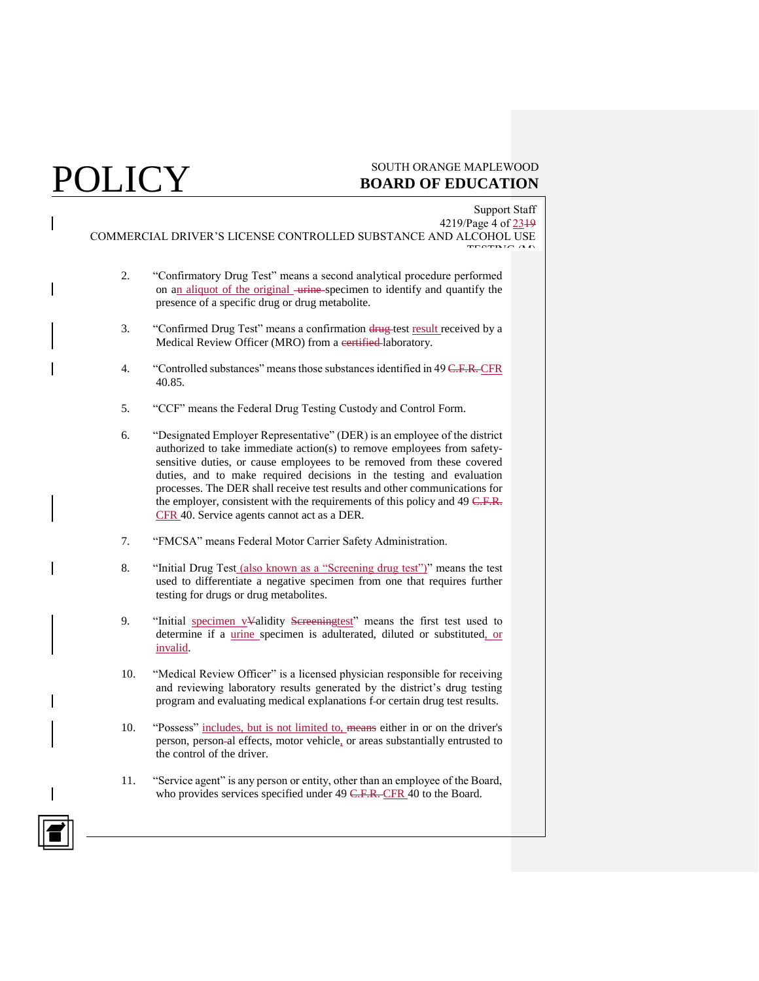## $\rm{OLICY} \rm{^{SOUTH\,ORANGE\,MAPLEWOOD}}$ **BOARD OF EDUCATION**

Support Staff 4219/Page 4 of 2319 COMMERCIAL DRIVER'S LICENSE CONTROLLED SUBSTANCE AND ALCOHOL USE TESTING (M)

- 2. "Confirmatory Drug Test" means a second analytical procedure performed on an aliquot of the original urine specimen to identify and quantify the presence of a specific drug or drug metabolite.
- 3. "Confirmed Drug Test" means a confirmation drug test result received by a Medical Review Officer (MRO) from a certified-laboratory.
- 4. "Controlled substances" means those substances identified in 49 C.F.R. CFR 40.85.
- 5. "CCF" means the Federal Drug Testing Custody and Control Form.
- 6. "Designated Employer Representative" (DER) is an employee of the district authorized to take immediate action(s) to remove employees from safetysensitive duties, or cause employees to be removed from these covered duties, and to make required decisions in the testing and evaluation processes. The DER shall receive test results and other communications for the employer, consistent with the requirements of this policy and 49 C.F.R. CFR 40. Service agents cannot act as a DER.
- 7. "FMCSA" means Federal Motor Carrier Safety Administration.
- 8. "Initial Drug Test (also known as a "Screening drug test")" means the test used to differentiate a negative specimen from one that requires further testing for drugs or drug metabolites.
- 9. "Initial specimen v<sup>y</sup>alidity Sereeningtest" means the first test used to determine if a *urine* specimen is adulterated, diluted or substituted, or invalid.
- 10. "Medical Review Officer" is a licensed physician responsible for receiving and reviewing laboratory results generated by the district's drug testing program and evaluating medical explanations f-or certain drug test results.
- 10. "Possess" includes, but is not limited to, means either in or on the driver's person, person al effects, motor vehicle, or areas substantially entrusted to the control of the driver.
- 11. "Service agent" is any person or entity, other than an employee of the Board, who provides services specified under 49 C.F.R. CFR 40 to the Board.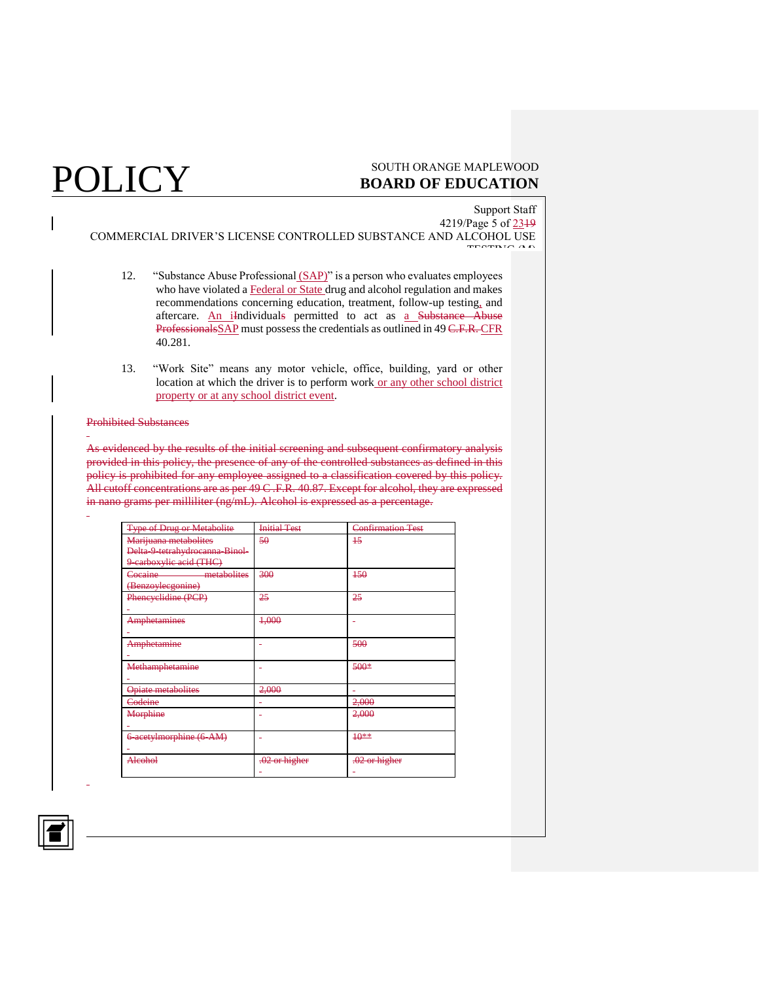Support Staff 4219/Page 5 of 2319 COMMERCIAL DRIVER'S LICENSE CONTROLLED SUBSTANCE AND ALCOHOL USE TESTING (M)

- 12. "Substance Abuse Professional (SAP)" is a person who evaluates employees who have violated a Federal or State drug and alcohol regulation and makes recommendations concerning education, treatment, follow-up testing, and aftercare. An iIndividuals permitted to act as a Substance Abuse ProfessionalsSAP must possess the credentials as outlined in 49 C.F.R. CFR 40.281.
- 13. "Work Site" means any motor vehicle, office, building, yard or other location at which the driver is to perform work or any other school district property or at any school district event.

### Prohibited Substances

As evidenced by the results of the initial screening and subsequent confirmatory analysis provided in this policy, the presence of any of the controlled substances as defined in this policy is prohibited for any employee assigned to a classification covered by this policy. All cutoff concentrations are as per 49 C .F.R. 40.87. Except for alcohol, they are expressed in nano grams per milliliter (ng/mL). Alcohol is expressed as a percentage.

| <b>Type of Drug or Metabolite</b> | <b>Initial Test</b> | <b>Confirmation Test</b> |
|-----------------------------------|---------------------|--------------------------|
| Marijuana metabolites             | 50                  | $+5$                     |
| Delta-9-tetrahydrocanna-Binol-    |                     |                          |
| 9 earboxylic acid (THC)           |                     |                          |
| metabolites<br>Cocaine            | 300                 | $+50$                    |
| (Benzoylecgonine)                 |                     |                          |
| Phencyclidine (PCP)               | 25                  | 25                       |
|                                   |                     |                          |
| Amphetamines                      | 4,000               | ÷                        |
|                                   |                     |                          |
| Amphetamine                       |                     | 500                      |
|                                   |                     |                          |
| Methamphetamine                   |                     | $500*$                   |
|                                   |                     |                          |
| <b>Opiate metabolites</b>         | 2,000               |                          |
| Codeine                           |                     | 2,000                    |
| Morphine                          |                     | 2,000                    |
|                                   |                     |                          |
| 6-acetylmorphine (6-AM)           | ÷                   | $+0***$                  |
|                                   |                     |                          |
| Alcohol                           | $.02$ or higher     | $.02$ or higher          |
|                                   |                     |                          |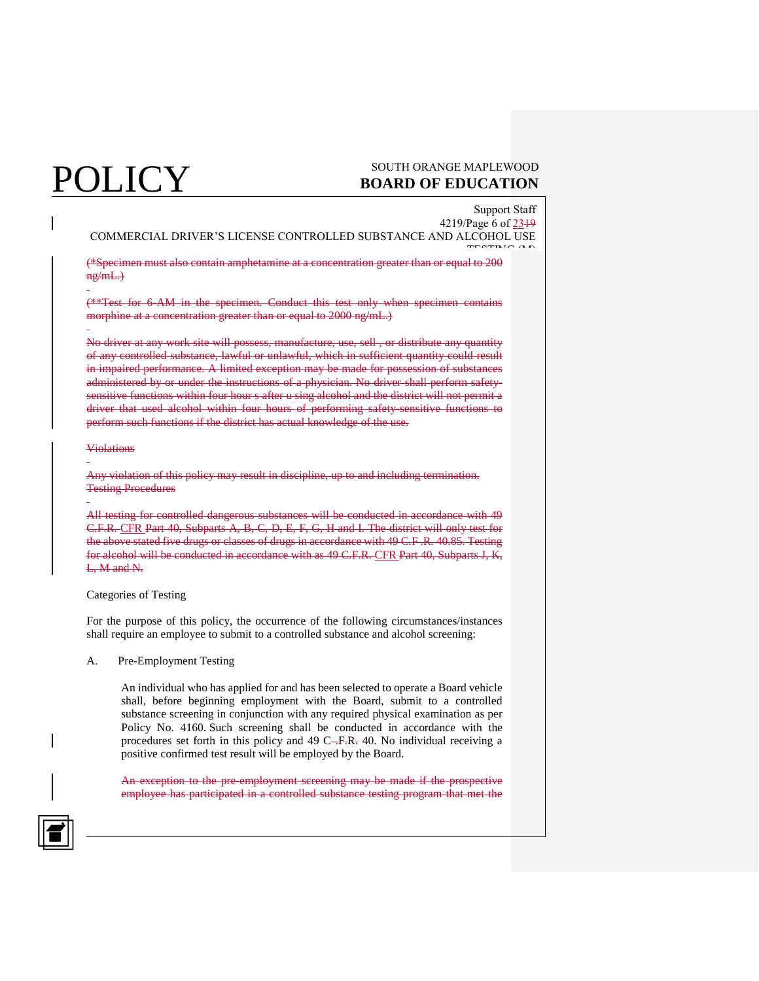## $\operatorname{POLICY}$  south orange maple wood **BOARD OF EDUCATION**

Support Staff 4219/Page 6 of 2319 COMMERCIAL DRIVER'S LICENSE CONTROLLED SUBSTANCE AND ALCOHOL USE TESTING (M)

(\*Specimen must also contain amphetamine at a concentration greater than or equal to 200 ng/mL.)

(\*\*Test for 6-AM in the specimen. Conduct this test only when specimen contains morphine at a concentration greater than or equal to 2000 ng/mL.)

No driver at any work site will possess, manufacture, use, sell , or distribute any quantity of any controlled substance, lawful or unlawful, which in sufficient quantity could result in impaired performance. A limited exception may be made for possession of substances administered by or under the instructions of a physician. No driver shall perform safetysensitive functions within four hour s after u sing alcohol and the district will not permit a driver that used alcohol within four hours of performing safety-sensitive functions to perform such functions if the district has actual knowledge of the use.

### **Violations**

Any violation of this policy may result in discipline, up to and including termination. Testing Procedures

All testing for controlled dangerous substances will be conducted in accordance with 49 C.F.R. CFR Part 40, Subparts A, B, C, D, E, F, G, H and I. The district will only test for the above stated five drugs or classes of drugs in accordance with 49 C.F .R. 40.85. Testing for alcohol will be conducted in accordance with as 49 C.F.R. CFR Part 40, Subparts J, K, L, M and N.

### Categories of Testing

For the purpose of this policy, the occurrence of the following circumstances/instances shall require an employee to submit to a controlled substance and alcohol screening:

A. Pre-Employment Testing

An individual who has applied for and has been selected to operate a Board vehicle shall, before beginning employment with the Board, submit to a controlled substance screening in conjunction with any required physical examination as per Policy No. 4160. Such screening shall be conducted in accordance with the procedures set forth in this policy and 49 C-F-R- 40. No individual receiving a positive confirmed test result will be employed by the Board.

An exception to the pre-employment screening may be made if the prospective employee has participated in a controlled substance testing program that met the

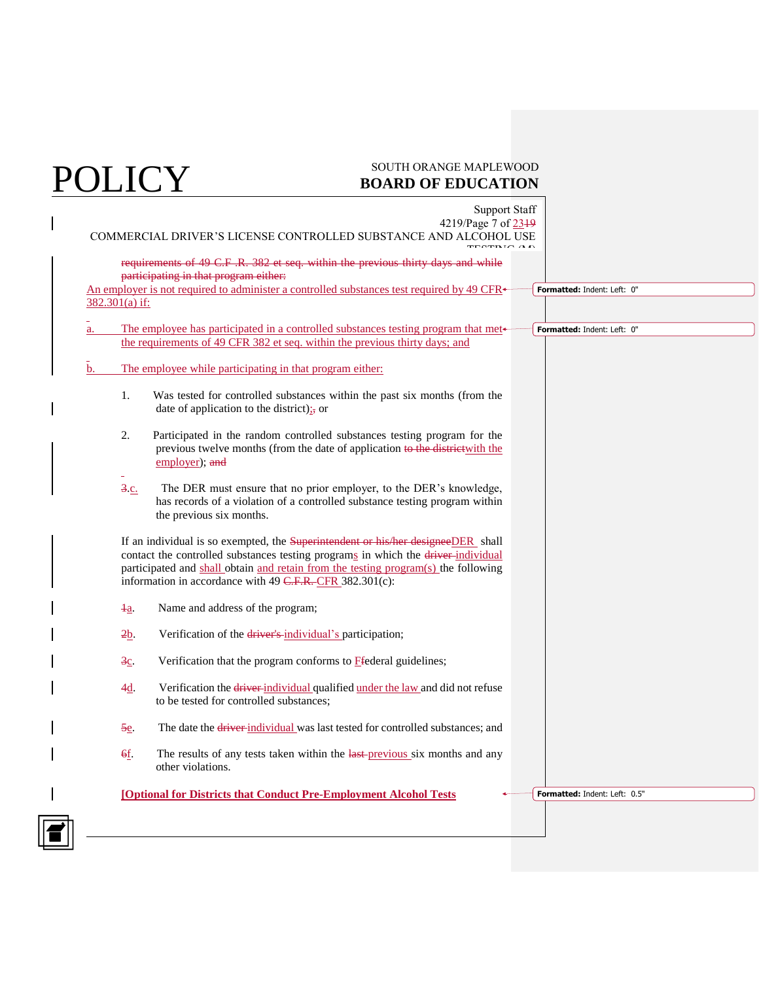|    | <b>Support Staff</b><br>4219/Page 7 of 2349 |                                                                                                                                                                                                                                                                                                                         |                                      |
|----|---------------------------------------------|-------------------------------------------------------------------------------------------------------------------------------------------------------------------------------------------------------------------------------------------------------------------------------------------------------------------------|--------------------------------------|
|    |                                             | COMMERCIAL DRIVER'S LICENSE CONTROLLED SUBSTANCE AND ALCOHOL USE                                                                                                                                                                                                                                                        |                                      |
|    |                                             |                                                                                                                                                                                                                                                                                                                         |                                      |
|    |                                             | requirements of 49 C.F.R. 382 et seq. within the previous thirty days and while<br>participating in that program either:                                                                                                                                                                                                |                                      |
|    |                                             | An employer is not required to administer a controlled substances test required by 49 CFR $\star$                                                                                                                                                                                                                       | Formatted: Indent: Left: 0"          |
|    | 382.301(a) if:                              |                                                                                                                                                                                                                                                                                                                         |                                      |
|    |                                             |                                                                                                                                                                                                                                                                                                                         |                                      |
| a. |                                             | The employee has participated in a controlled substances testing program that met-                                                                                                                                                                                                                                      | Formatted: Indent: Left: 0"          |
|    |                                             | the requirements of 49 CFR 382 et seq. within the previous thirty days; and                                                                                                                                                                                                                                             |                                      |
| b. |                                             | The employee while participating in that program either:                                                                                                                                                                                                                                                                |                                      |
|    | 1.                                          | Was tested for controlled substances within the past six months (from the<br>date of application to the district) $\frac{1}{27}$ or                                                                                                                                                                                     |                                      |
|    | 2.                                          | Participated in the random controlled substances testing program for the<br>previous twelve months (from the date of application to the district with the<br>employer); and                                                                                                                                             |                                      |
|    | $3c$ .                                      | The DER must ensure that no prior employer, to the DER's knowledge,<br>has records of a violation of a controlled substance testing program within<br>the previous six months.                                                                                                                                          |                                      |
|    |                                             | If an individual is so exempted, the Superintendent or his/her designeeDER shall<br>contact the controlled substances testing programs in which the driver-individual<br>participated and shall obtain and retain from the testing program(s) the following<br>information in accordance with 49 C.F.R. CFR 382.301(c): |                                      |
|    | $\frac{1}{2}$                               | Name and address of the program;                                                                                                                                                                                                                                                                                        |                                      |
|    | 2b                                          | Verification of the driver's individual's participation;                                                                                                                                                                                                                                                                |                                      |
|    | $\frac{3c}{2}$                              | Verification that the program conforms to <b>F</b> federal guidelines;                                                                                                                                                                                                                                                  |                                      |
|    | $4\underline{d}$ .                          | Verification the driver individual qualified under the law and did not refuse<br>to be tested for controlled substances;                                                                                                                                                                                                |                                      |
|    | 5e                                          | The date the <i>driver-individual</i> was last tested for controlled substances; and                                                                                                                                                                                                                                    |                                      |
|    | 6f.                                         | The results of any tests taken within the last-previous six months and any<br>other violations.                                                                                                                                                                                                                         |                                      |
|    |                                             | <b>[Optional for Districts that Conduct Pre-Employment Alcohol Tests</b>                                                                                                                                                                                                                                                | <b>Formatted: Indent: Left: 0.5"</b> |
|    |                                             |                                                                                                                                                                                                                                                                                                                         |                                      |
|    |                                             |                                                                                                                                                                                                                                                                                                                         |                                      |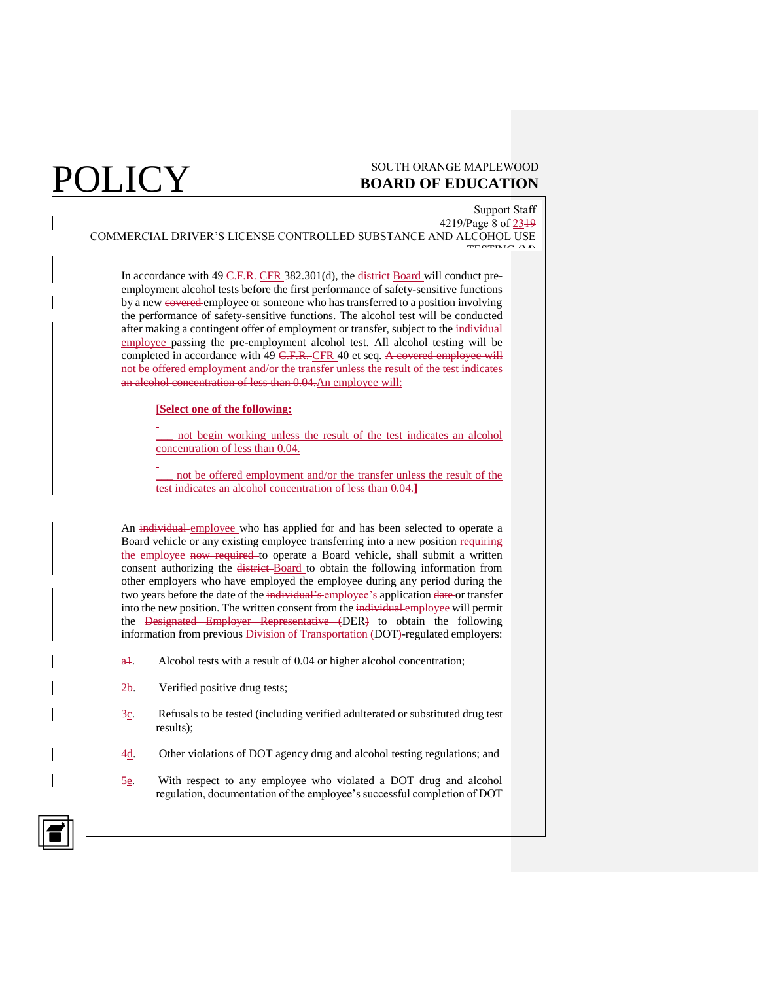### $\mathop{\hbox{POLICY}}\limits_{\hbox{sourn or} \atop \hbox{poARD of EUCATION}}$ **BOARD OF EDUCATION**

Support Staff 4219/Page 8 of 2319 COMMERCIAL DRIVER'S LICENSE CONTROLLED SUBSTANCE AND ALCOHOL USE TESTING (M)

In accordance with 49 C.F.R. CFR 382.301(d), the district Board will conduct preemployment alcohol tests before the first performance of safety-sensitive functions by a new covered employee or someone who has transferred to a position involving the performance of safety-sensitive functions. The alcohol test will be conducted after making a contingent offer of employment or transfer, subject to the individual employee passing the pre-employment alcohol test. All alcohol testing will be completed in accordance with 49 C.F.R. CFR 40 et seq. A covered employee will not be offered employment and/or the transfer unless the result of the test indicates an alcohol concentration of less than 0.04.An employee will:

### **[Select one of the following:**

\_\_\_ not begin working unless the result of the test indicates an alcohol concentration of less than 0.04.

not be offered employment and/or the transfer unless the result of the test indicates an alcohol concentration of less than 0.04.**]**

An individual employee who has applied for and has been selected to operate a Board vehicle or any existing employee transferring into a new position requiring the employee now required to operate a Board vehicle, shall submit a written consent authorizing the district-Board to obtain the following information from other employers who have employed the employee during any period during the two years before the date of the individual's employee's application date or transfer into the new position. The written consent from the individual employee will permit the Designated Employer Representative (DER) to obtain the following information from previous **Division of Transportation (DOT)**-regulated employers:

- $\underline{a}$ . Alcohol tests with a result of 0.04 or higher alcohol concentration;
- 2b. Verified positive drug tests;
- $\frac{3c}{2}$ . Refusals to be tested (including verified adulterated or substituted drug test results);
- 4d. Other violations of DOT agency drug and alcohol testing regulations; and
- 5e. With respect to any employee who violated a DOT drug and alcohol regulation, documentation of the employee's successful completion of DOT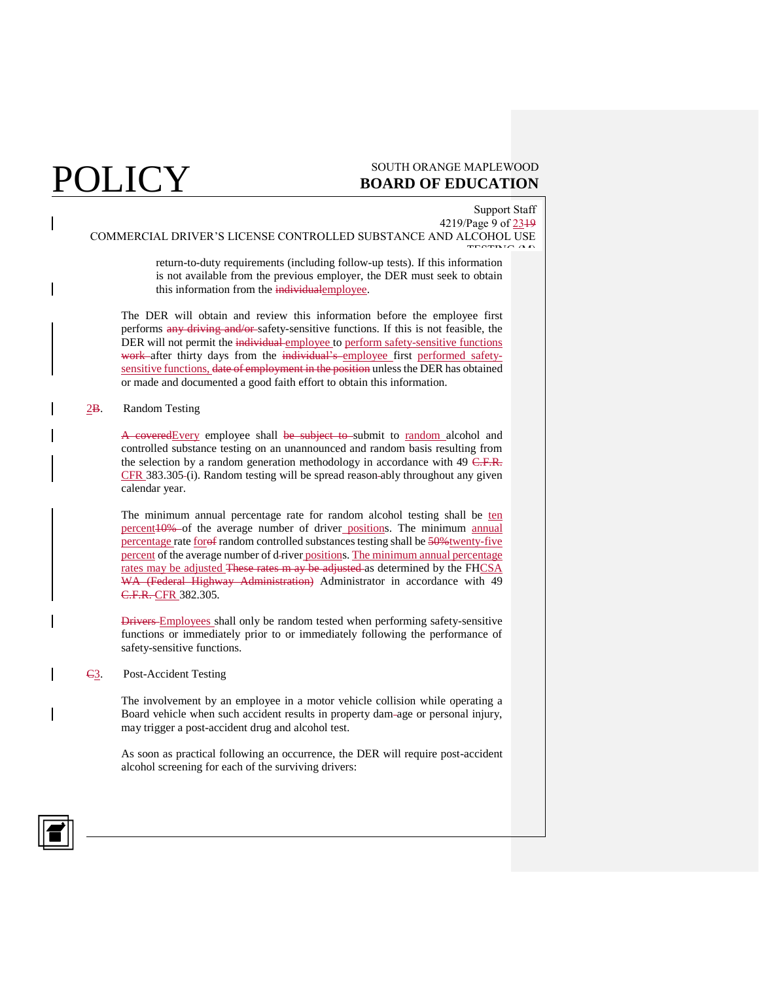### Support Staff 4219/Page 9 of 2319

COMMERCIAL DRIVER'S LICENSE CONTROLLED SUBSTANCE AND ALCOHOL USE TESTING (M)

> return-to-duty requirements (including follow-up tests). If this information is not available from the previous employer, the DER must seek to obtain this information from the individualemployee.

The DER will obtain and review this information before the employee first performs any driving and/or safety-sensitive functions. If this is not feasible, the DER will not permit the individual employee to perform safety-sensitive functions work after thirty days from the individual's employee first performed safetysensitive functions, date of employment in the position unless the DER has obtained or made and documented a good faith effort to obtain this information.

### 2B. Random Testing

A coveredEvery employee shall be subject to submit to random alcohol and controlled substance testing on an unannounced and random basis resulting from the selection by a random generation methodology in accordance with 49 C.F.R. CFR 383.305-(i). Random testing will be spread reason-ably throughout any given calendar year.

The minimum annual percentage rate for random alcohol testing shall be ten percent<sub>10%</sub> of the average number of driver positions. The minimum annual percentage rate foref random controlled substances testing shall be 50% twenty-five percent of the average number of d-river positions. The minimum annual percentage rates may be adjusted These rates m ay be adjusted as determined by the FHCSA WA (Federal Highway Administration) Administrator in accordance with 49 C.F.R. CFR 382.305.

Drivers Employees shall only be random tested when performing safety-sensitive functions or immediately prior to or immediately following the performance of safety-sensitive functions.

C3. Post-Accident Testing

The involvement by an employee in a motor vehicle collision while operating a Board vehicle when such accident results in property dam age or personal injury, may trigger a post-accident drug and alcohol test.

As soon as practical following an occurrence, the DER will require post-accident alcohol screening for each of the surviving drivers:

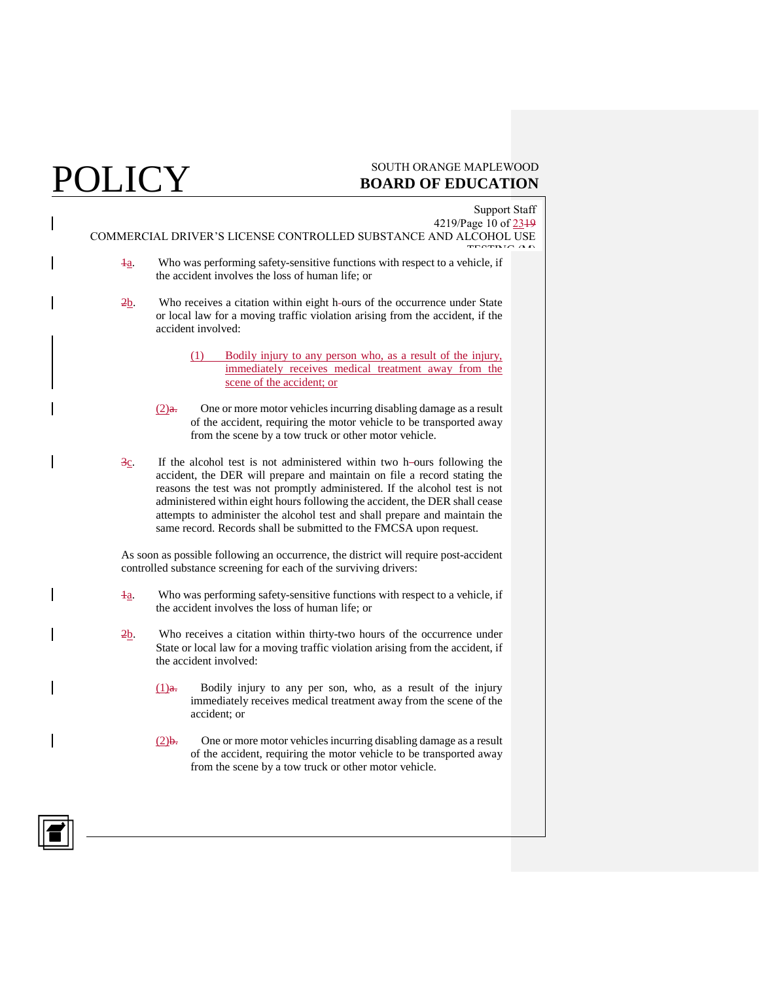# POLICY SOUTH ORANGE MAPLEWOOD BOARD OF EDUCATION **BOARD OF EDUCATION**

| <b>Support Staff</b><br>4219/Page 10 of 2319<br>COMMERCIAL DRIVER'S LICENSE CONTROLLED SUBSTANCE AND ALCOHOL USE<br><b>FLOTD</b> IC                                                                                                                                                                                                                                                                                                                                            |
|--------------------------------------------------------------------------------------------------------------------------------------------------------------------------------------------------------------------------------------------------------------------------------------------------------------------------------------------------------------------------------------------------------------------------------------------------------------------------------|
| Who was performing safety-sensitive functions with respect to a vehicle, if<br>$\frac{1}{2}$<br>the accident involves the loss of human life; or                                                                                                                                                                                                                                                                                                                               |
| Who receives a citation within eight h-ours of the occurrence under State<br>2b<br>or local law for a moving traffic violation arising from the accident, if the<br>accident involved:                                                                                                                                                                                                                                                                                         |
| Bodily injury to any person who, as a result of the injury,<br>(1)<br>immediately receives medical treatment away from the<br>scene of the accident; or                                                                                                                                                                                                                                                                                                                        |
| One or more motor vehicles incurring disabling damage as a result<br>$(2)$ a.<br>of the accident, requiring the motor vehicle to be transported away<br>from the scene by a tow truck or other motor vehicle.                                                                                                                                                                                                                                                                  |
| If the alcohol test is not administered within two h-ours following the<br>$3c$ .<br>accident, the DER will prepare and maintain on file a record stating the<br>reasons the test was not promptly administered. If the alcohol test is not<br>administered within eight hours following the accident, the DER shall cease<br>attempts to administer the alcohol test and shall prepare and maintain the<br>same record. Records shall be submitted to the FMCSA upon request. |
| As soon as possible following an occurrence, the district will require post-accident<br>controlled substance screening for each of the surviving drivers:                                                                                                                                                                                                                                                                                                                      |
| Who was performing safety-sensitive functions with respect to a vehicle, if<br>łа.<br>the accident involves the loss of human life; or                                                                                                                                                                                                                                                                                                                                         |
| Who receives a citation within thirty-two hours of the occurrence under<br>2b.<br>State or local law for a moving traffic violation arising from the accident, if<br>the accident involved:                                                                                                                                                                                                                                                                                    |

- (1)a. Bodily injury to any per son, who, as a result of the injury immediately receives medical treatment away from the scene of the accident; or
- $(2)$ b. One or more motor vehicles incurring disabling damage as a result of the accident, requiring the motor vehicle to be transported away from the scene by a tow truck or other motor vehicle.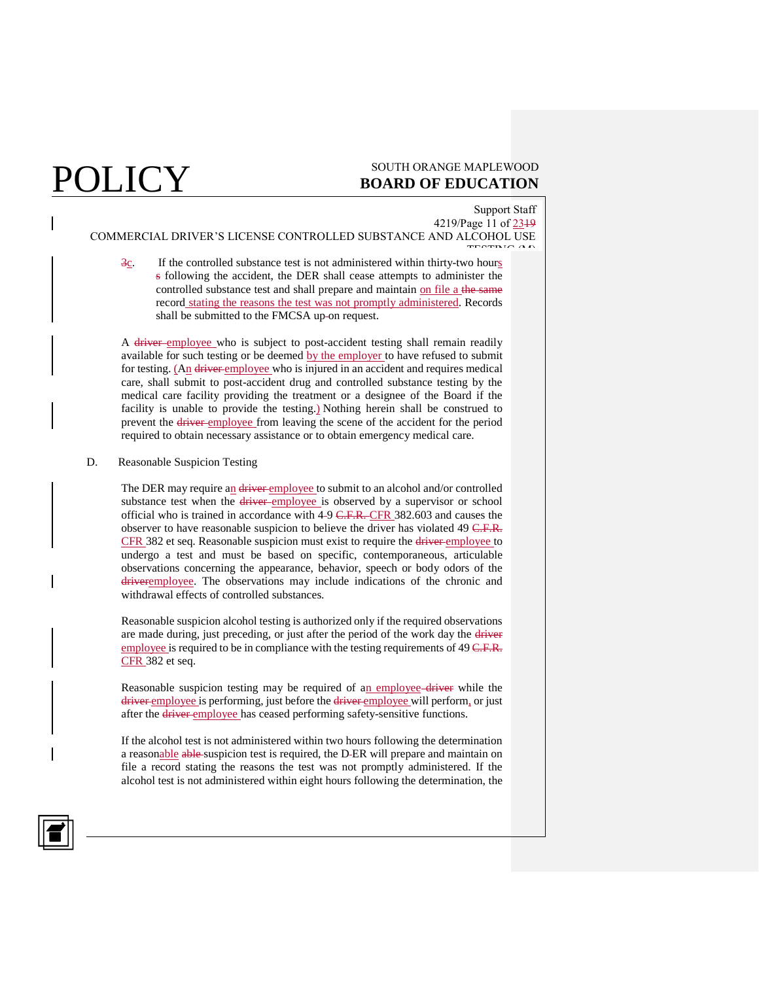### Support Staff

4219/Page 11 of 2319 COMMERCIAL DRIVER'S LICENSE CONTROLLED SUBSTANCE AND ALCOHOL USE

TESTING (M)  $\frac{3c}{2}$ . If the controlled substance test is not administered within thirty-two hours s following the accident, the DER shall cease attempts to administer the controlled substance test and shall prepare and maintain on file a the same record stating the reasons the test was not promptly administered. Records shall be submitted to the FMCSA up-on request.

A driver employee who is subject to post-accident testing shall remain readily available for such testing or be deemed by the employer to have refused to submit for testing. (An driver employee who is injured in an accident and requires medical care, shall submit to post-accident drug and controlled substance testing by the medical care facility providing the treatment or a designee of the Board if the facility is unable to provide the testing.) Nothing herein shall be construed to prevent the driver employee from leaving the scene of the accident for the period required to obtain necessary assistance or to obtain emergency medical care.

D. Reasonable Suspicion Testing

The DER may require an driver employee to submit to an alcohol and/or controlled substance test when the driver employee is observed by a supervisor or school official who is trained in accordance with 4-9 C.F.R. CFR 382.603 and causes the observer to have reasonable suspicion to believe the driver has violated 49 C.F.R. CFR 382 et seq. Reasonable suspicion must exist to require the driver employee to undergo a test and must be based on specific, contemporaneous, articulable observations concerning the appearance, behavior, speech or body odors of the driveremployee. The observations may include indications of the chronic and withdrawal effects of controlled substances.

Reasonable suspicion alcohol testing is authorized only if the required observations are made during, just preceding, or just after the period of the work day the driver employee is required to be in compliance with the testing requirements of 49 C.F.R. CFR 382 et seq.

Reasonable suspicion testing may be required of an employee-driver while the driver employee is performing, just before the driver employee will perform, or just after the driver employee has ceased performing safety-sensitive functions.

If the alcohol test is not administered within two hours following the determination a reasonable able suspicion test is required, the D-ER will prepare and maintain on file a record stating the reasons the test was not promptly administered. If the alcohol test is not administered within eight hours following the determination, the

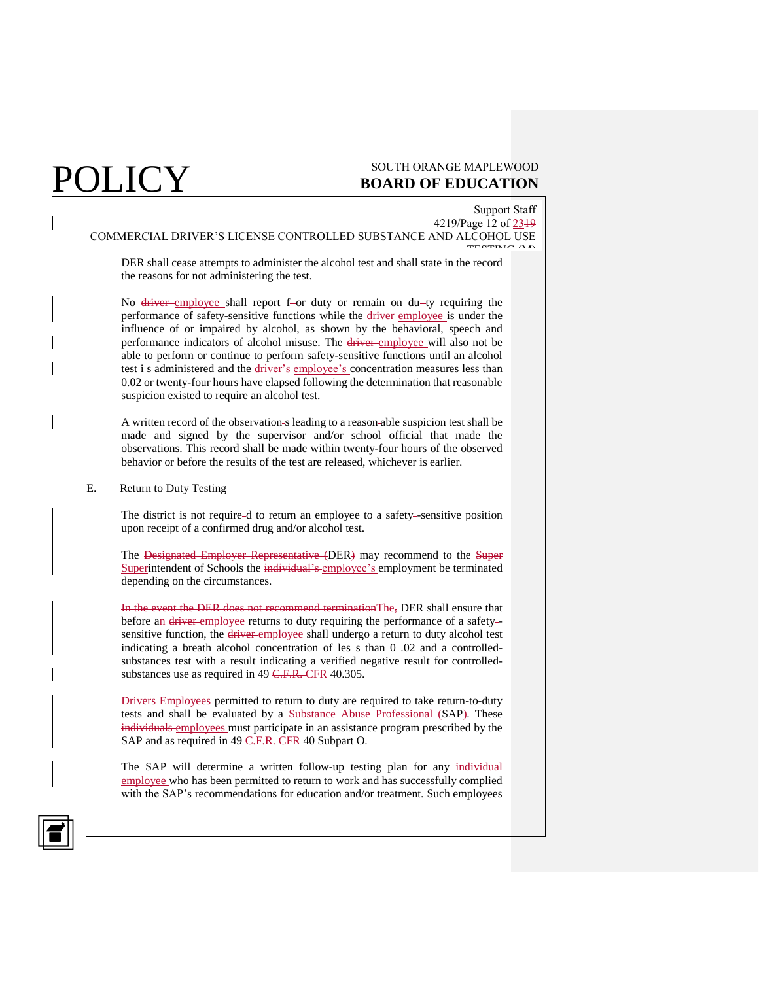## $\mathop{\hbox{POLICY}}\limits_{\hbox{sourn or} \atop \hbox{poARD of EDUCATION}}$ **BOARD OF EDUCATION**

## Support Staff

4219/Page 12 of 2319 COMMERCIAL DRIVER'S LICENSE CONTROLLED SUBSTANCE AND ALCOHOL USE TESTING (M)

DER shall cease attempts to administer the alcohol test and shall state in the record the reasons for not administering the test.

No driver employee shall report f-or duty or remain on du-ty requiring the performance of safety-sensitive functions while the driver employee is under the influence of or impaired by alcohol, as shown by the behavioral, speech and performance indicators of alcohol misuse. The driver employee will also not be able to perform or continue to perform safety-sensitive functions until an alcohol test i-s administered and the driver's employee's concentration measures less than 0.02 or twenty-four hours have elapsed following the determination that reasonable suspicion existed to require an alcohol test.

A written record of the observation s leading to a reason able suspicion test shall be made and signed by the supervisor and/or school official that made the observations. This record shall be made within twenty-four hours of the observed behavior or before the results of the test are released, whichever is earlier.

E. Return to Duty Testing

The district is not require-d to return an employee to a safety-sensitive position upon receipt of a confirmed drug and/or alcohol test.

The Designated Employer Representative (DER) may recommend to the Super Superintendent of Schools the individual's employee's employment be terminated depending on the circumstances.

In the event the DER does not recommend terminationThe, DER shall ensure that before an driver employee returns to duty requiring the performance of a safety-sensitive function, the driver employee shall undergo a return to duty alcohol test indicating a breath alcohol concentration of les-s than 0-.02 and a controlledsubstances test with a result indicating a verified negative result for controlledsubstances use as required in 49 C.F.R. CFR 40.305.

Drivers Employees permitted to return to duty are required to take return-to-duty tests and shall be evaluated by a Substance Abuse Professional (SAP). These individuals employees must participate in an assistance program prescribed by the SAP and as required in 49 C.F.R. CFR 40 Subpart O.

The SAP will determine a written follow-up testing plan for any individual employee who has been permitted to return to work and has successfully complied with the SAP's recommendations for education and/or treatment. Such employees

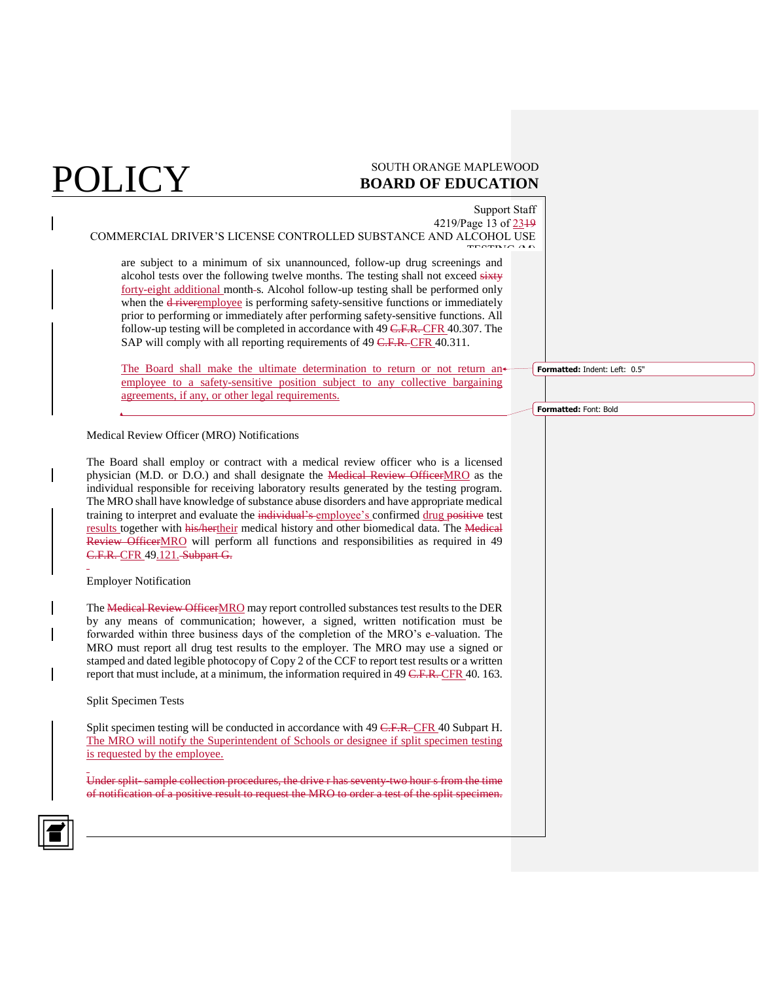## $\mathop{\hbox{POLICY}}\limits_{\hbox{sourn or} \atop \hbox{poARD of EDUCATION}}$ **BOARD OF EDUCATION**

Support Staff 4219/Page 13 of 2319 COMMERCIAL DRIVER'S LICENSE CONTROLLED SUBSTANCE AND ALCOHOL USE TESTING (M) are subject to a minimum of six unannounced, follow-up drug screenings and alcohol tests over the following twelve months. The testing shall not exceed sixty forty-eight additional month-s. Alcohol follow-up testing shall be performed only when the <del>d river</del>employee is performing safety-sensitive functions or immediately prior to performing or immediately after performing safety-sensitive functions. All follow-up testing will be completed in accordance with 49 C.F.R. CFR 40.307. The SAP will comply with all reporting requirements of 49 C.F.R. CFR 40.311. The Board shall make the ultimate determination to return or not return anemployee to a safety-sensitive position subject to any collective bargaining agreements, if any, or other legal requirements. Medical Review Officer (MRO) Notifications The Board shall employ or contract with a medical review officer who is a licensed physician (M.D. or D.O.) and shall designate the Medical Review OfficerMRO as the individual responsible for receiving laboratory results generated by the testing program. The MRO shall have knowledge of substance abuse disorders and have appropriate medical training to interpret and evaluate the individual's employee's confirmed drug positive test results together with his/hertheir medical history and other biomedical data. The Medical Review OfficerMRO will perform all functions and responsibilities as required in 49 C.F.R. CFR 49.121. Subpart G. Employer Notification The Medical Review OfficerMRO may report controlled substances test results to the DER by any means of communication; however, a signed, written notification must be forwarded within three business days of the completion of the MRO's e-valuation. The MRO must report all drug test results to the employer. The MRO may use a signed or stamped and dated legible photocopy of Copy 2 of the CCF to report test results or a written report that must include, at a minimum, the information required in 49 C.F.R. CFR 40. 163. Split Specimen Tests Split specimen testing will be conducted in accordance with 49 C.F.R. CFR 40 Subpart H. The MRO will notify the Superintendent of Schools or designee if split specimen testing is requested by the employee. Under split- sample collection procedures, the drive r has seventy-two hour s from the time of notification of a positive result to request the MRO to order a test of the split specimen. **Formatted:** Indent: Left: 0.5" **Formatted:** Font: Bold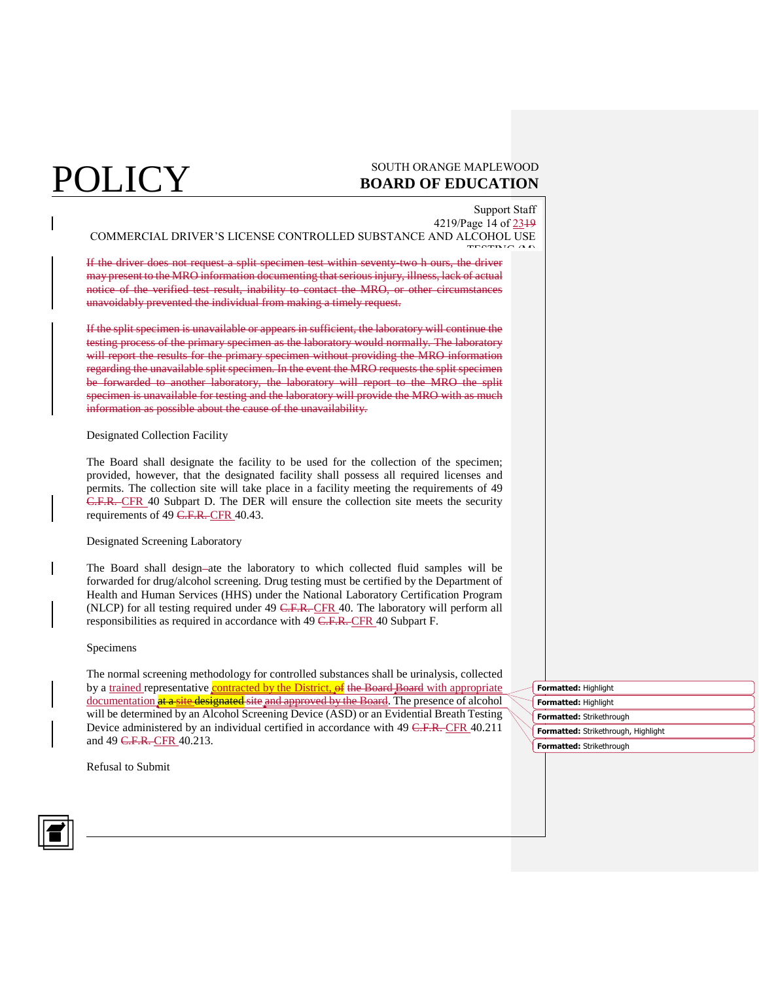## $\mathop{\hbox{POLICY}}\limits_{\hbox{sourn or} \atop \hbox{poARD of EUCATION}}$ **BOARD OF EDUCATION**

Support Staff 4219/Page 14 of 2319

COMMERCIAL DRIVER'S LICENSE CONTROLLED SUBSTANCE AND ALCOHOL USE TESTING (M)

If the driver does not request a split specimen test within seventy-two h ours, the driver may present to the MRO information documenting that serious injury, illness, lack of actual notice of the verified test result, inability to contact the MRO, or other circumstances unavoidably prevented the individual from making a timely request.

If the split specimen is unavailable or appears in sufficient, the laboratory will continue the testing process of the primary specimen as the laboratory would normally. The laboratory will report the results for the primary specimen without providing the MRO information regarding the unavailable split specimen. In the event the MRO requests the split specimen be forwarded to another laboratory, the laboratory will report to the MRO the split specimen is unavailable for testing and the laboratory will provide the MRO with as much information as possible about the cause of the unavailability.

### Designated Collection Facility

The Board shall designate the facility to be used for the collection of the specimen; provided, however, that the designated facility shall possess all required licenses and permits. The collection site will take place in a facility meeting the requirements of 49 C.F.R. CFR 40 Subpart D. The DER will ensure the collection site meets the security requirements of 49 C.F.R. CFR 40.43.

### Designated Screening Laboratory

The Board shall design-ate the laboratory to which collected fluid samples will be forwarded for drug/alcohol screening. Drug testing must be certified by the Department of Health and Human Services (HHS) under the National Laboratory Certification Program (NLCP) for all testing required under 49 C.F.R. CFR 40. The laboratory will perform all responsibilities as required in accordance with 49 C.F.R. CFR 40 Subpart F.

### Specimens

The normal screening methodology for controlled substances shall be urinalysis, collected by a trained representative contracted by the District, of the Board Board with appropriate documentation at a site designated site and approved by the Board. The presence of alcohol will be determined by an Alcohol Screening Device (ASD) or an Evidential Breath Testing Device administered by an individual certified in accordance with 49 C.F.R. CFR 40.211 and 49 C.F.R. CFR 40.213.

**Formatted:** Highlight **Formatted:** Highlight **Formatted:** Strikethrough **Formatted:** Strikethrough, Highlight **Formatted:** Strikethrough

Refusal to Submit

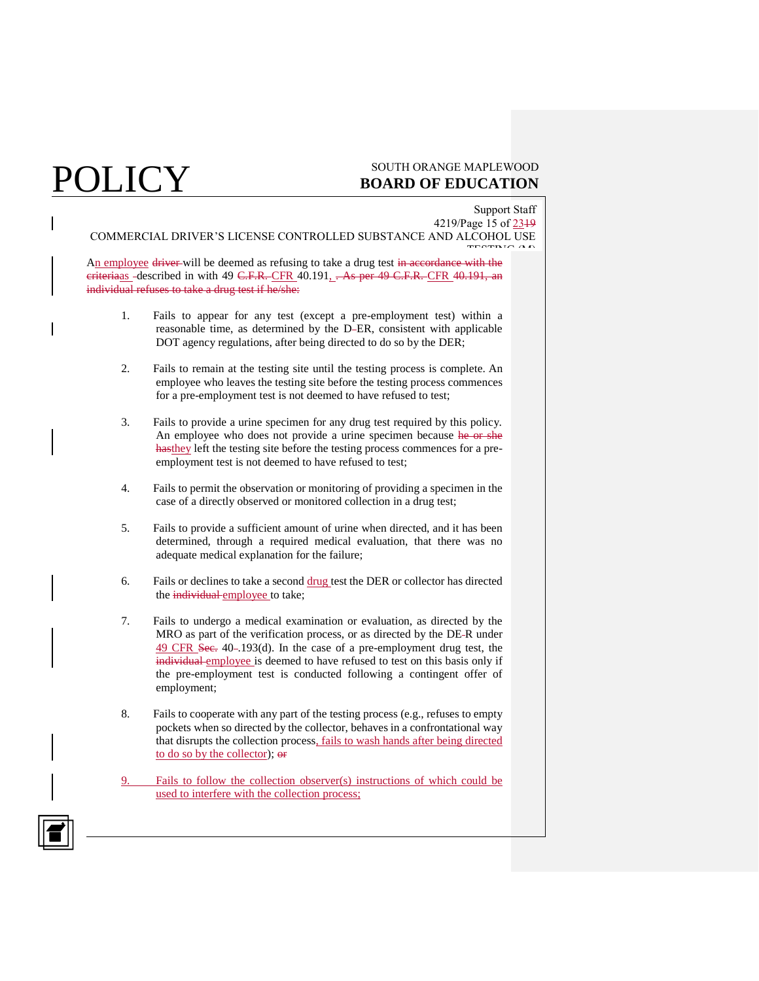## $\text{POLICY} \hspace{1cm} \text{soutrinorange and PUCATION}$ **BOARD OF EDUCATION**

Support Staff 4219/Page 15 of 2319 COMMERCIAL DRIVER'S LICENSE CONTROLLED SUBSTANCE AND ALCOHOL USE TESTING (M)

An employee driver will be deemed as refusing to take a drug test in accordance with the eriteriaas -described in with 49 C.F.R. CFR 40.191, . As per 49 C.F.R. CFR 40.191, an individual refuses to take a drug test if he/she:

- 1. Fails to appear for any test (except a pre-employment test) within a reasonable time, as determined by the D ER, consistent with applicable DOT agency regulations, after being directed to do so by the DER;
- 2. Fails to remain at the testing site until the testing process is complete. An employee who leaves the testing site before the testing process commences for a pre-employment test is not deemed to have refused to test;
- 3. Fails to provide a urine specimen for any drug test required by this policy. An employee who does not provide a urine specimen because he or she hasthey left the testing site before the testing process commences for a preemployment test is not deemed to have refused to test;
- 4. Fails to permit the observation or monitoring of providing a specimen in the case of a directly observed or monitored collection in a drug test;
- 5. Fails to provide a sufficient amount of urine when directed, and it has been determined, through a required medical evaluation, that there was no adequate medical explanation for the failure;
- 6. Fails or declines to take a second drug test the DER or collector has directed the individual employee to take;
- 7. Fails to undergo a medical examination or evaluation, as directed by the MRO as part of the verification process, or as directed by the DE R under 49 CFR Sec. 40-.193(d). In the case of a pre-employment drug test, the individual employee is deemed to have refused to test on this basis only if the pre-employment test is conducted following a contingent offer of employment;
- 8. Fails to cooperate with any part of the testing process (e.g., refuses to empty pockets when so directed by the collector, behaves in a confrontational way that disrupts the collection process, fails to wash hands after being directed to do so by the collector); or
- Fails to follow the collection observer(s) instructions of which could be used to interfere with the collection process;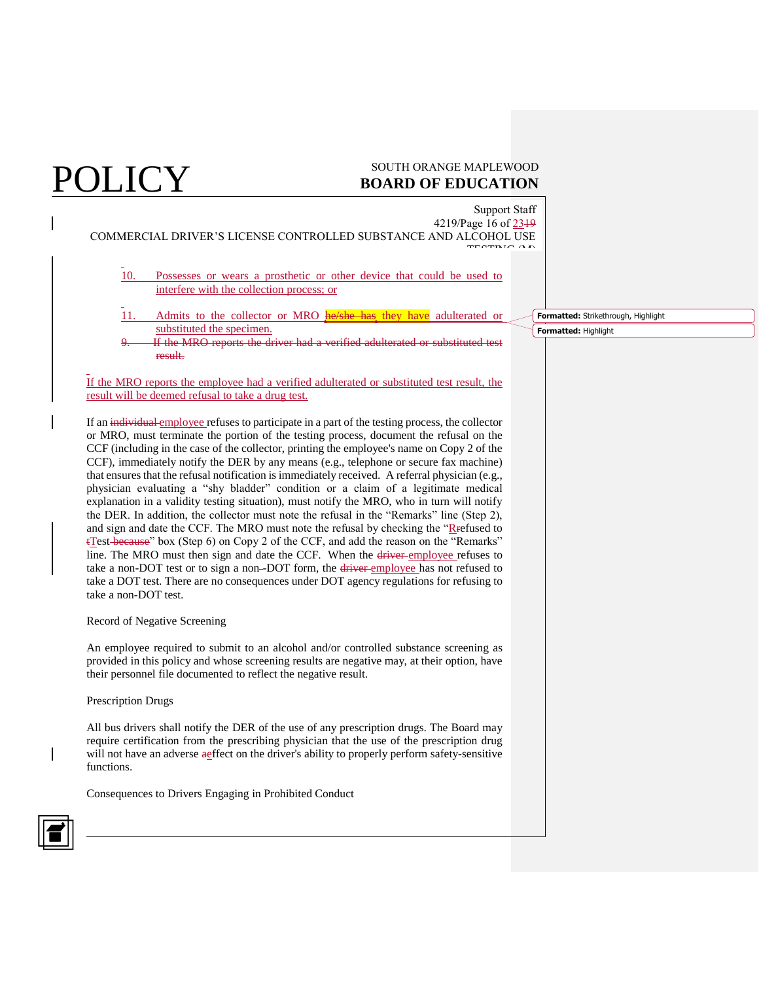Support Staff

4219/Page 16 of 2319 COMMERCIAL DRIVER'S LICENSE CONTROLLED SUBSTANCE AND ALCOHOL USE TESTING (M)

- 10. Possesses or wears a prosthetic or other device that could be used to interfere with the collection process; or
- 11. Admits to the collector or MRO **he/she has they have** adulterated or substituted the specimen.
- If the MRO reports the driver had a verified adulterated or substituted test result.

If the MRO reports the employee had a verified adulterated or substituted test result, the result will be deemed refusal to take a drug test.

If an individual employee refuses to participate in a part of the testing process, the collector or MRO, must terminate the portion of the testing process, document the refusal on the CCF (including in the case of the collector, printing the employee's name on Copy 2 of the CCF), immediately notify the DER by any means (e.g., telephone or secure fax machine) that ensures that the refusal notification is immediately received. A referral physician (e.g., physician evaluating a "shy bladder" condition or a claim of a legitimate medical explanation in a validity testing situation), must notify the MRO, who in turn will notify the DER. In addition, the collector must note the refusal in the "Remarks" line (Step 2), and sign and date the CCF. The MRO must note the refusal by checking the "Refused to tTest because" box (Step 6) on Copy 2 of the CCF, and add the reason on the "Remarks" line. The MRO must then sign and date the CCF. When the driver employee refuses to take a non-DOT test or to sign a non-DOT form, the driver-employee has not refused to take a DOT test. There are no consequences under DOT agency regulations for refusing to take a non-DOT test.

### Record of Negative Screening

An employee required to submit to an alcohol and/or controlled substance screening as provided in this policy and whose screening results are negative may, at their option, have their personnel file documented to reflect the negative result.

### Prescription Drugs

All bus drivers shall notify the DER of the use of any prescription drugs. The Board may require certification from the prescribing physician that the use of the prescription drug will not have an adverse aeffect on the driver's ability to properly perform safety-sensitive functions.

Consequences to Drivers Engaging in Prohibited Conduct



**Formatted:** Strikethrough, Highlight

**Formatted:** Highlight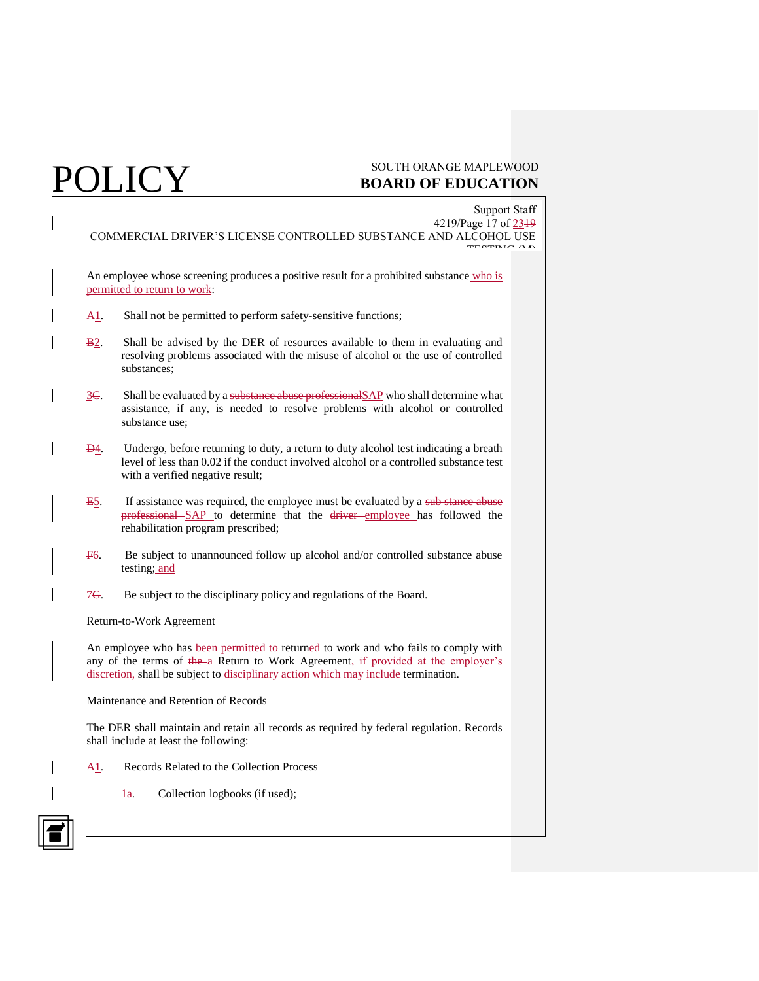$\boxed{1}$ 

| <b>Support Staff</b><br>4219/Page 17 of 2349<br>COMMERCIAL DRIVER'S LICENSE CONTROLLED SUBSTANCE AND ALCOHOL USE                                                                                                                                               |                                                                                                                                                                                                                    |  |  |  |
|----------------------------------------------------------------------------------------------------------------------------------------------------------------------------------------------------------------------------------------------------------------|--------------------------------------------------------------------------------------------------------------------------------------------------------------------------------------------------------------------|--|--|--|
|                                                                                                                                                                                                                                                                | An employee whose screening produces a positive result for a prohibited substance who is<br>permitted to return to work:                                                                                           |  |  |  |
| <u>A1</u>                                                                                                                                                                                                                                                      | Shall not be permitted to perform safety-sensitive functions;                                                                                                                                                      |  |  |  |
| $B2$ .                                                                                                                                                                                                                                                         | Shall be advised by the DER of resources available to them in evaluating and<br>resolving problems associated with the misuse of alcohol or the use of controlled<br>substances;                                   |  |  |  |
| $3C$ .                                                                                                                                                                                                                                                         | Shall be evaluated by a substance abuse professional SAP who shall determine what<br>assistance, if any, is needed to resolve problems with alcohol or controlled<br>substance use:                                |  |  |  |
| <b>D</b> <sub>4</sub> .                                                                                                                                                                                                                                        | Undergo, before returning to duty, a return to duty alcohol test indicating a breath<br>level of less than 0.02 if the conduct involved alcohol or a controlled substance test<br>with a verified negative result; |  |  |  |
| E5.                                                                                                                                                                                                                                                            | If assistance was required, the employee must be evaluated by a sub-stance abuse<br>professional SAP to determine that the driver employee has followed the<br>rehabilitation program prescribed;                  |  |  |  |
| F <sub>6</sub>                                                                                                                                                                                                                                                 | Be subject to unannounced follow up alcohol and/or controlled substance abuse<br>testing; and                                                                                                                      |  |  |  |
| 7 <del>G</del> .                                                                                                                                                                                                                                               | Be subject to the disciplinary policy and regulations of the Board.                                                                                                                                                |  |  |  |
| Return-to-Work Agreement                                                                                                                                                                                                                                       |                                                                                                                                                                                                                    |  |  |  |
| An employee who has been permitted to returned to work and who fails to comply with<br>any of the terms of the a Return to Work Agreement, if provided at the employer's<br>discretion, shall be subject to disciplinary action which may include termination. |                                                                                                                                                                                                                    |  |  |  |
| Maintenance and Retention of Records                                                                                                                                                                                                                           |                                                                                                                                                                                                                    |  |  |  |
|                                                                                                                                                                                                                                                                | The DER shall maintain and retain all records as required by federal regulation. Records<br>shall include at least the following:                                                                                  |  |  |  |
| <u>A1</u>                                                                                                                                                                                                                                                      | Records Related to the Collection Process                                                                                                                                                                          |  |  |  |
|                                                                                                                                                                                                                                                                | Collection logbooks (if used);<br>łа.                                                                                                                                                                              |  |  |  |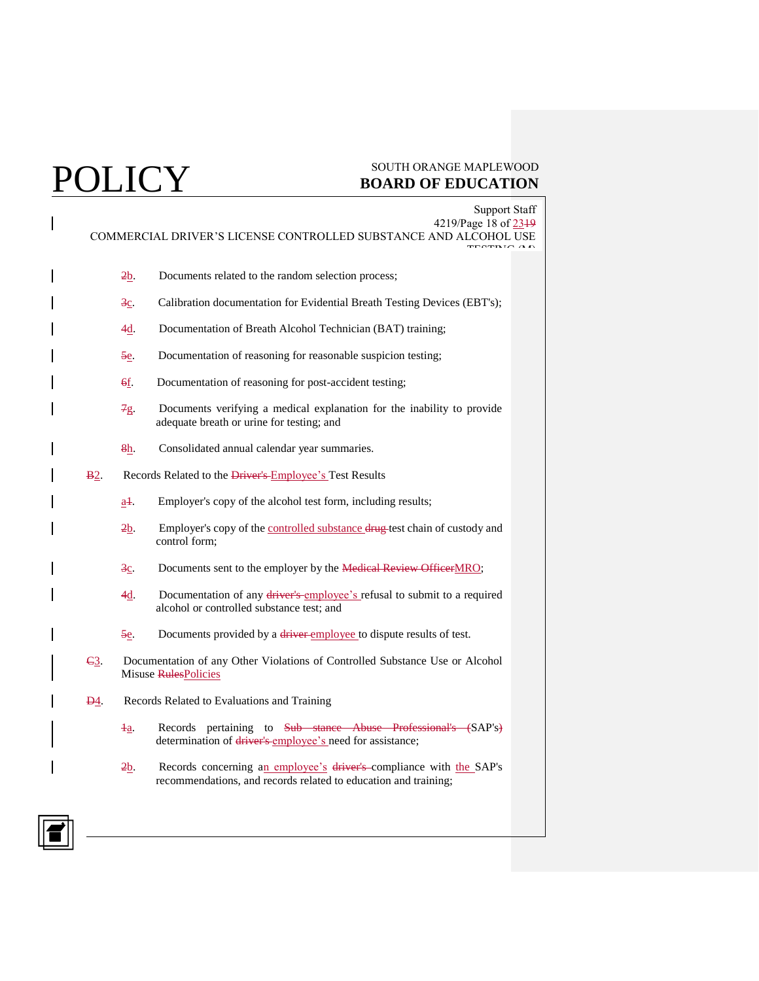| <b>Support Staff</b><br>4219/Page 18 of 2349<br>COMMERCIAL DRIVER'S LICENSE CONTROLLED SUBSTANCE AND ALCOHOL USE |                    |                                                                                                                                        |
|------------------------------------------------------------------------------------------------------------------|--------------------|----------------------------------------------------------------------------------------------------------------------------------------|
|                                                                                                                  | 2b                 | Documents related to the random selection process;                                                                                     |
|                                                                                                                  | $3c$ .             | Calibration documentation for Evidential Breath Testing Devices (EBT's);                                                               |
|                                                                                                                  | 4d.                | Documentation of Breath Alcohol Technician (BAT) training;                                                                             |
|                                                                                                                  | 5e.                | Documentation of reasoning for reasonable suspicion testing;                                                                           |
|                                                                                                                  | 6f.                | Documentation of reasoning for post-accident testing;                                                                                  |
|                                                                                                                  | 7g                 | Documents verifying a medical explanation for the inability to provide<br>adequate breath or urine for testing; and                    |
|                                                                                                                  | 8h                 | Consolidated annual calendar year summaries.                                                                                           |
| <b>B</b> 2.                                                                                                      |                    | Records Related to the Driver's Employee's Test Results                                                                                |
|                                                                                                                  | $a1$ .             | Employer's copy of the alcohol test form, including results;                                                                           |
|                                                                                                                  | $2b$ .             | Employer's copy of the controlled substance drug test chain of custody and<br>control form;                                            |
|                                                                                                                  | $\frac{3c}{2}$     | Documents sent to the employer by the <b>Medical Review Officer</b> MRO;                                                               |
|                                                                                                                  | $4\underline{d}$ . | Documentation of any driver's employee's refusal to submit to a required<br>alcohol or controlled substance test; and                  |
|                                                                                                                  | 5e                 | Documents provided by a driver employee to dispute results of test.                                                                    |
| $\epsilon$ <sup>3</sup>                                                                                          |                    | Documentation of any Other Violations of Controlled Substance Use or Alcohol<br>Misuse RulesPolicies                                   |
| <u>D4</u>                                                                                                        |                    | Records Related to Evaluations and Training                                                                                            |
|                                                                                                                  | $\frac{1}{2}$      | Records pertaining to Sub stance Abuse Professional's (SAP's)<br>determination of driver's employee's need for assistance;             |
|                                                                                                                  | $2b$ .             | Records concerning an employee's driver's compliance with the SAP's<br>recommendations, and records related to education and training; |

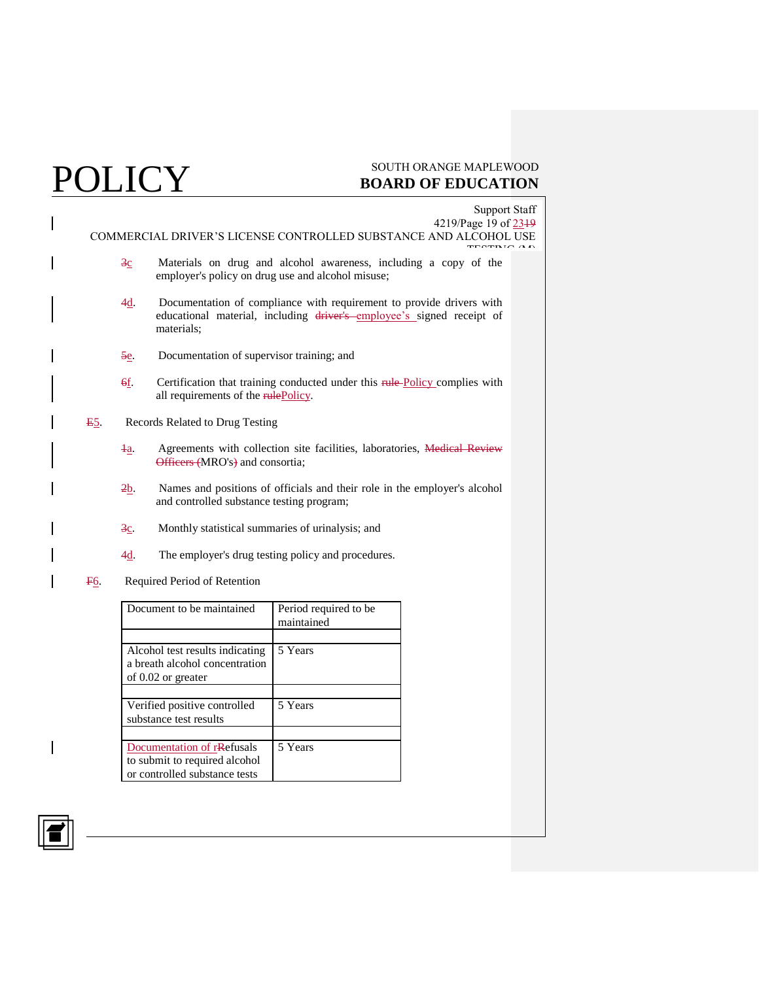$\boxed{1}$ 

|                                                   |                                 | <b>Support Staff</b><br>4219/Page 19 of 2319                                                                                                                |  |
|---------------------------------------------------|---------------------------------|-------------------------------------------------------------------------------------------------------------------------------------------------------------|--|
|                                                   |                                 | COMMERCIAL DRIVER'S LICENSE CONTROLLED SUBSTANCE AND ALCOHOL USE                                                                                            |  |
|                                                   | $\overline{3}c$                 | Materials on drug and alcohol awareness, including a copy of the<br>employer's policy on drug use and alcohol misuse;                                       |  |
|                                                   | 4 <u>d</u>                      | Documentation of compliance with requirement to provide drivers with<br>educational material, including driver's employee's signed receipt of<br>materials: |  |
|                                                   | 5e                              | Documentation of supervisor training; and                                                                                                                   |  |
|                                                   | 6f.                             | Certification that training conducted under this rule-Policy complies with<br>all requirements of the rulePolicy.                                           |  |
| E5.                                               | Records Related to Drug Testing |                                                                                                                                                             |  |
|                                                   | Ŧа.                             | Agreements with collection site facilities, laboratories, Medical Review<br>Officers (MRO's) and consortia;                                                 |  |
|                                                   | $2b$ .                          | Names and positions of officials and their role in the employer's alcohol<br>and controlled substance testing program;                                      |  |
|                                                   | $3c$ .                          | Monthly statistical summaries of urinalysis; and                                                                                                            |  |
|                                                   | 4d.                             | The employer's drug testing policy and procedures.                                                                                                          |  |
| F6.                                               |                                 | Required Period of Retention                                                                                                                                |  |
| Dogwart to he mointained<br>$\sum_{i=1}^{\infty}$ |                                 |                                                                                                                                                             |  |

| Document to be maintained                                                                    | Period required to be<br>maintained |
|----------------------------------------------------------------------------------------------|-------------------------------------|
|                                                                                              |                                     |
| Alcohol test results indicating<br>a breath alcohol concentration<br>of $0.02$ or greater    | 5 Years                             |
|                                                                                              |                                     |
| Verified positive controlled<br>substance test results                                       | 5 Years                             |
|                                                                                              |                                     |
| Documentation of rRefusals<br>to submit to required alcohol<br>or controlled substance tests | 5 Years                             |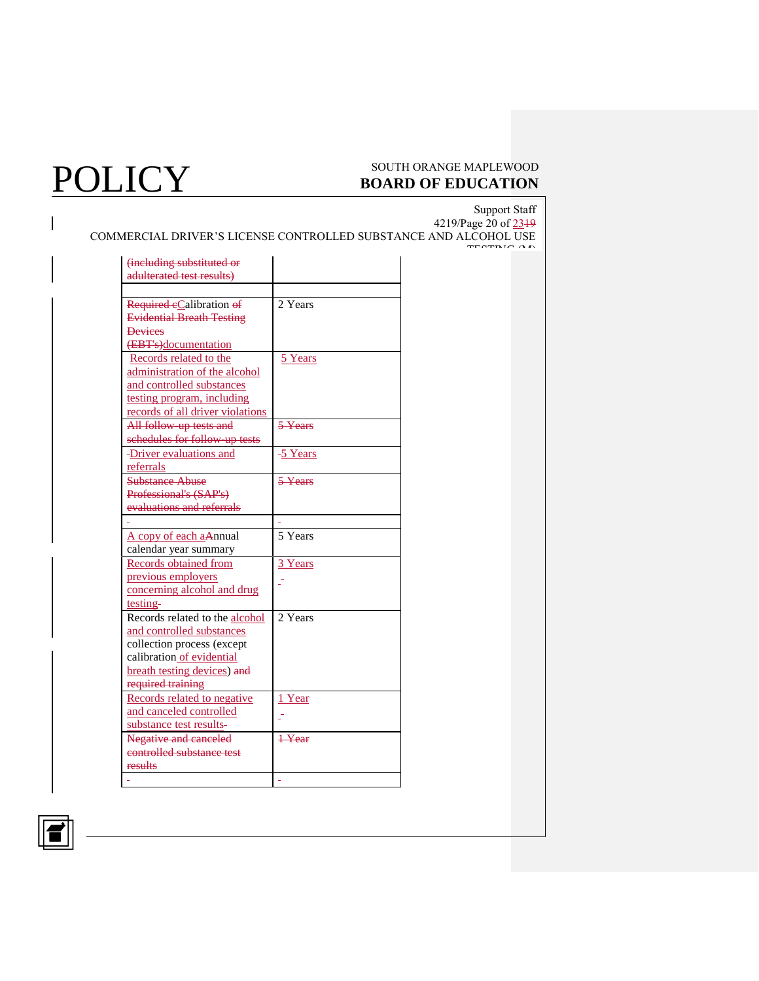# POLICY SOUTH ORANGE MAPLEWOOD BOARD OF EDUCATION **BOARD OF EDUCATION**

Support Staff

TESTING (M)

4219/Page 20 of 2319 COMMERCIAL DRIVER'S LICENSE CONTROLLED SUBSTANCE AND ALCOHOL USE

| Required eCalibration of<br><b>Evidential Breath Testing</b> | 2 Years                      |
|--------------------------------------------------------------|------------------------------|
| <b>Devices</b>                                               |                              |
|                                                              |                              |
| (EBT's)documentation                                         |                              |
| Records related to the                                       | 5 Years                      |
| administration of the alcohol                                |                              |
| and controlled substances                                    |                              |
| testing program, including                                   |                              |
| records of all driver violations                             |                              |
| All follow up tests and                                      | $\overline{5 \text{ Years}}$ |
| schedules for follow-up tests                                |                              |
| -Driver evaluations and                                      | -5 Years                     |
| referrals                                                    |                              |
| <b>Substance Abuse</b>                                       | $5$ Years                    |
| Professional's (SAP's)                                       |                              |
| evaluations and referrals                                    |                              |
|                                                              |                              |
| A copy of each aAnnual                                       | 5 Years                      |
| calendar year summary                                        |                              |
| Records obtained from                                        | 3 Years                      |
| previous employers                                           |                              |
| concerning alcohol and drug                                  |                              |
| testing-                                                     |                              |
| Records related to the alcohol                               | 2 Years                      |
| and controlled substances                                    |                              |
| collection process (except                                   |                              |
| calibration of evidential                                    |                              |
| breath testing devices) and                                  |                              |
| required training                                            |                              |
| Records related to negative                                  | 1 Year                       |
| and canceled controlled                                      |                              |
|                                                              |                              |
|                                                              |                              |
| substance test results-                                      |                              |
| Negative and canceled                                        | $1$ Year                     |
| controlled substance test<br><del>results</del>              |                              |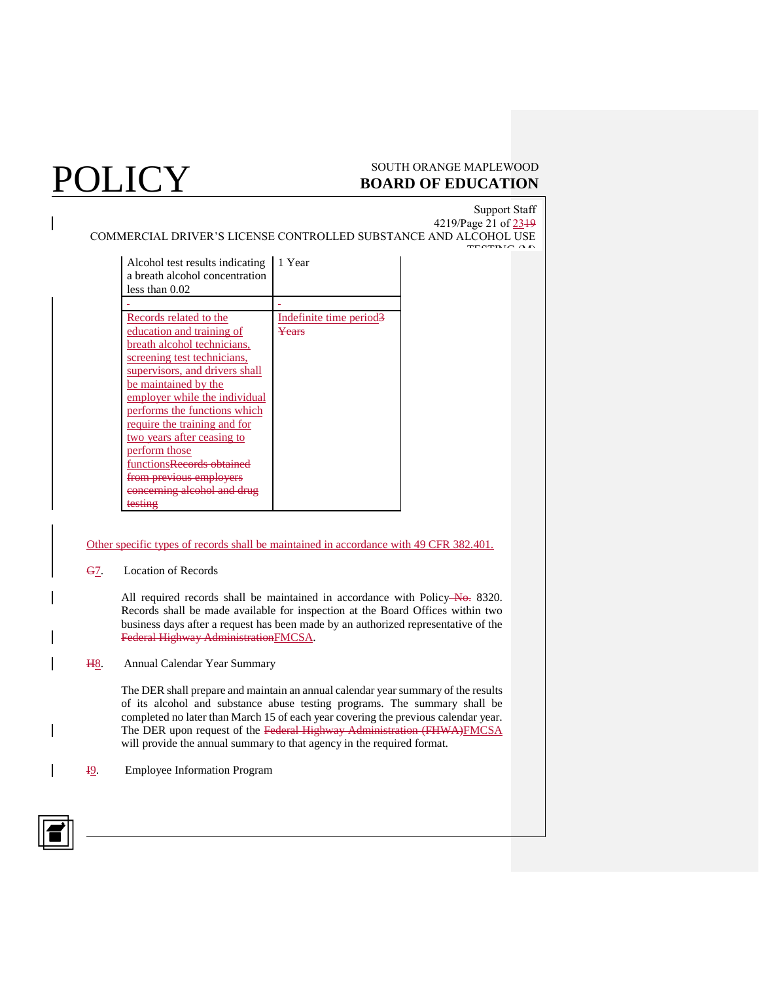## $\rm \overline{POLICY}$  south orange maple wood **BOARD OF EDUCATION**

Support Staff 4219/Page 21 of 23<sup>19</sup> COMMERCIAL DRIVER'S LICENSE CONTROLLED SUBSTANCE AND ALCOHOL USE TESTING A A

| Alcohol test results indicating<br>a breath alcohol concentration<br>less than 0.02 | 1 Year                  |
|-------------------------------------------------------------------------------------|-------------------------|
|                                                                                     |                         |
| Records related to the                                                              | Indefinite time period. |
| education and training of                                                           | Years                   |
| breath alcohol technicians,                                                         |                         |
| screening test technicians,                                                         |                         |
| supervisors, and drivers shall                                                      |                         |
| be maintained by the                                                                |                         |
| employer while the individual                                                       |                         |
| performs the functions which                                                        |                         |
| <u>require the training and for</u>                                                 |                         |
| two years after ceasing to                                                          |                         |
| perform those                                                                       |                         |
| functions <del>Records ob</del>                                                     |                         |
|                                                                                     |                         |
| <del>concerning alcohol and</del>                                                   |                         |
|                                                                                     |                         |

### Other specific types of records shall be maintained in accordance with 49 CFR 382.401.

### G7. Location of Records

All required records shall be maintained in accordance with Policy-No. 8320. Records shall be made available for inspection at the Board Offices within two business days after a request has been made by an authorized representative of the Federal Highway AdministrationFMCSA.

### H8. Annual Calendar Year Summary

The DER shall prepare and maintain an annual calendar year summary of the results of its alcohol and substance abuse testing programs. The summary shall be completed no later than March 15 of each year covering the previous calendar year. The DER upon request of the Federal Highway Administration (FHWA)FMCSA will provide the annual summary to that agency in the required format.

I9. Employee Information Program

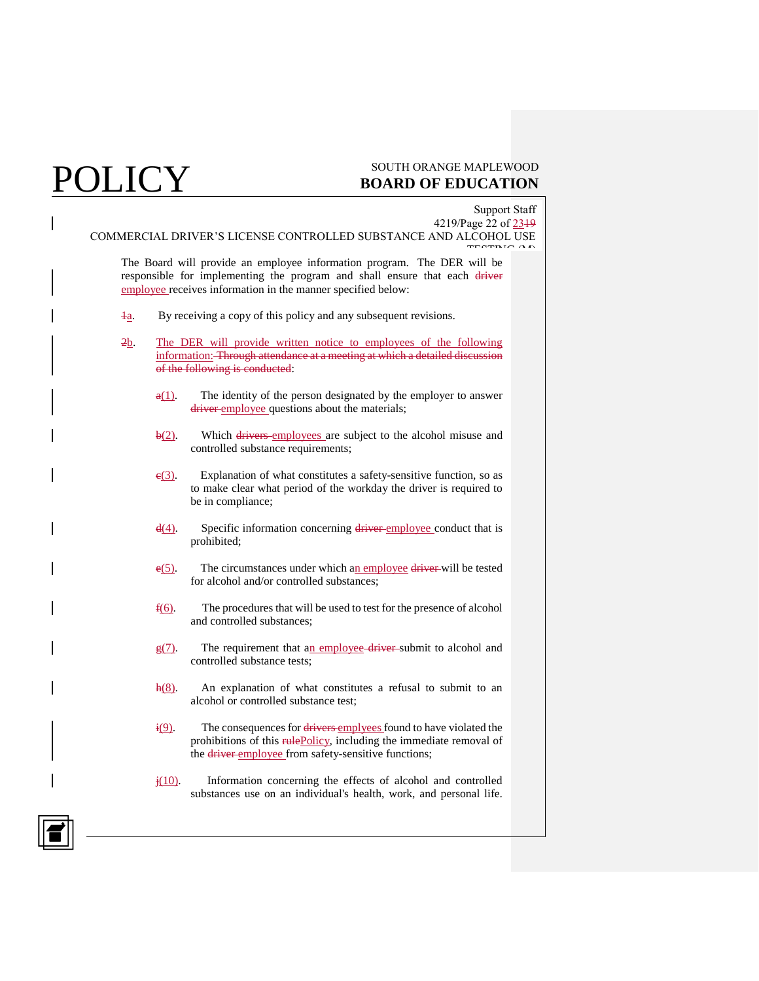|           | <b>Support Staff</b>                                                                                                                                                                                                  |
|-----------|-----------------------------------------------------------------------------------------------------------------------------------------------------------------------------------------------------------------------|
|           | 4219/Page 22 of 2319<br>COMMERCIAL DRIVER'S LICENSE CONTROLLED SUBSTANCE AND ALCOHOL USE                                                                                                                              |
|           | The Board will provide an employee information program. The DER will be<br>responsible for implementing the program and shall ensure that each driver<br>employee receives information in the manner specified below: |
| łа.       | By receiving a copy of this policy and any subsequent revisions.                                                                                                                                                      |
| 2b        | The DER will provide written notice to employees of the following<br>information: Through attendance at a meeting at which a detailed discussion<br>of the following is conducted:                                    |
| $a(1)$ .  | The identity of the person designated by the employer to answer<br>driver employee questions about the materials;                                                                                                     |
| $b(2)$ .  | Which drivers employees are subject to the alcohol misuse and<br>controlled substance requirements;                                                                                                                   |
| $e(3)$ .  | Explanation of what constitutes a safety-sensitive function, so as<br>to make clear what period of the workday the driver is required to<br>be in compliance;                                                         |
| $d(4)$ .  | Specific information concerning driver employee conduct that is<br>prohibited;                                                                                                                                        |
| $e(5)$ .  | The circumstances under which an employee driver-will be tested<br>for alcohol and/or controlled substances:                                                                                                          |
| $f(6)$ .  | The procedures that will be used to test for the presence of alcohol<br>and controlled substances;                                                                                                                    |
| $g(7)$ .  | The requirement that an employee driver-submit to alcohol and<br>controlled substance tests;                                                                                                                          |
| $h(8)$ .  | An explanation of what constitutes a refusal to submit to an<br>alcohol or controlled substance test;                                                                                                                 |
| i(9)      | The consequences for drivers emplyees found to have violated the<br>prohibitions of this rulePolicy, including the immediate removal of<br>the driver employee from safety-sensitive functions;                       |
| $j(10)$ . | Information concerning the effects of alcohol and controlled<br>substances use on an individual's health, work, and personal life.                                                                                    |